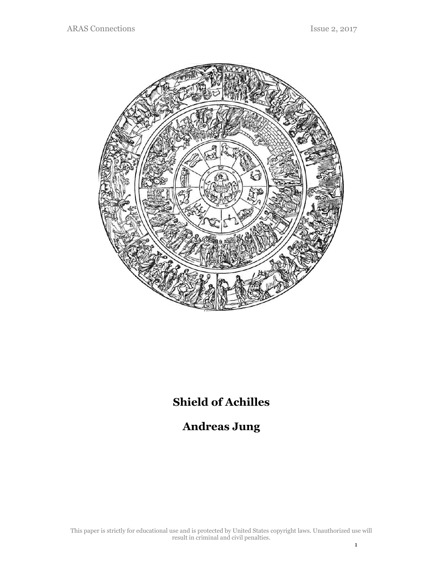

# **Shield of Achilles**

## **Andreas Jung**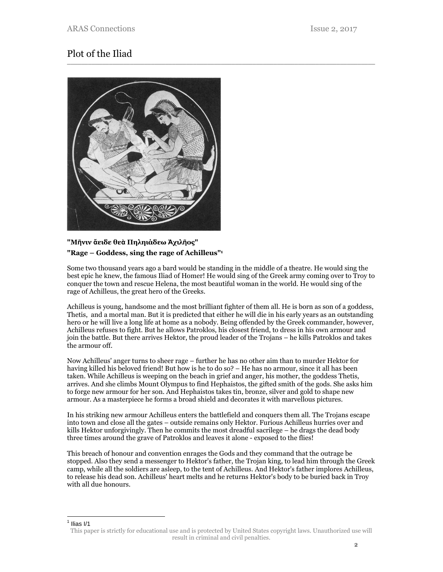## Plot of the Iliad



#### **"Μῆνιν ἄειδε θεὰ Πηληιάδεω Ἀχιλῆος" "Rage – Goddess, sing the rage of Achilleus"1**

Some two thousand years ago a bard would be standing in the middle of a theatre. He would sing the best epic he knew, the famous Iliad of Homer! He would sing of the Greek army coming over to Troy to conquer the town and rescue Helena, the most beautiful woman in the world. He would sing of the rage of Achilleus, the great hero of the Greeks.

\_\_\_\_\_\_\_\_\_\_\_\_\_\_\_\_\_\_\_\_\_\_\_\_\_\_\_\_\_\_\_\_\_\_\_\_\_\_\_\_\_\_\_\_\_\_\_\_\_\_\_\_\_\_\_\_\_\_\_\_\_\_\_\_\_\_\_\_\_\_\_\_\_\_\_\_\_\_\_\_\_\_\_\_\_\_\_\_

Achilleus is young, handsome and the most brilliant fighter of them all. He is born as son of a goddess, Thetis, and a mortal man. But it is predicted that either he will die in his early years as an outstanding hero or he will live a long life at home as a nobody. Being offended by the Greek commander, however, Achilleus refuses to fight. But he allows Patroklos, his closest friend, to dress in his own armour and join the battle. But there arrives Hektor, the proud leader of the Trojans – he kills Patroklos and takes the armour off.

Now Achilleus' anger turns to sheer rage – further he has no other aim than to murder Hektor for having killed his beloved friend! But how is he to do so? – He has no armour, since it all has been taken. While Achilleus is weeping on the beach in grief and anger, his mother, the goddess Thetis, arrives. And she climbs Mount Olympus to find Hephaistos, the gifted smith of the gods. She asks him to forge new armour for her son. And Hephaistos takes tin, bronze, silver and gold to shape new armour. As a masterpiece he forms a broad shield and decorates it with marvellous pictures.

In his striking new armour Achilleus enters the battlefield and conquers them all. The Trojans escape into town and close all the gates – outside remains only Hektor. Furious Achilleus hurries over and kills Hektor unforgivingly. Then he commits the most dreadful sacrilege – he drags the dead body three times around the grave of Patroklos and leaves it alone - exposed to the flies!

This breach of honour and convention enrages the Gods and they command that the outrage be stopped. Also they send a messenger to Hektor's father, the Trojan king, to lead him through the Greek camp, while all the soldiers are asleep, to the tent of Achilleus. And Hektor's father implores Achilleus, to release his dead son. Achilleus' heart melts and he returns Hektor's body to be buried back in Troy with all due honours.

<sup>&</sup>lt;u>1</u><br><sup>1</sup> Ilias I/1

This paper is strictly for educational use and is protected by United States copyright laws. Unauthorized use will result in criminal and civil penalties.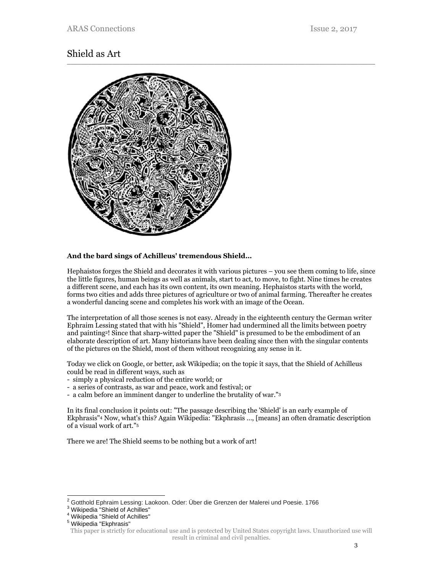## Shield as Art



#### **And the bard sings of Achilleus' tremendous Shield…**

Hephaistos forges the Shield and decorates it with various pictures – you see them coming to life, since the little figures, human beings as well as animals, start to act, to move, to fight. Nine times he creates a different scene, and each has its own content, its own meaning. Hephaistos starts with the world, forms two cities and adds three pictures of agriculture or two of animal farming. Thereafter he creates a wonderful dancing scene and completes his work with an image of the Ocean.

The interpretation of all those scenes is not easy. Already in the eighteenth century the German writer Ephraim Lessing stated that with his "Shield", Homer had undermined all the limits between poetry and painting2! Since that sharp-witted paper the "Shield" is presumed to be the embodiment of an elaborate description of art. Many historians have been dealing since then with the singular contents of the pictures on the Shield, most of them without recognizing any sense in it.

Today we click on Google, or better, ask Wikipedia; on the topic it says, that the Shield of Achilleus could be read in different ways, such as

- simply a physical reduction of the entire world; or
- a series of contrasts, as war and peace, work and festival; or
- a calm before an imminent danger to underline the brutality of war."3

In its final conclusion it points out: "The passage describing the 'Shield' is an early example of Ekphrasis"4 Now, what's this? Again Wikipedia: "Ekphrasis …, [means] an often dramatic description of a visual work of art."5

There we are! The Shield seems to be nothing but a work of art!

l

<sup>2</sup> Gotthold Ephraim Lessing: Laokoon. Oder: Über die Grenzen der Malerei und Poesie. 1766

<sup>&</sup>lt;sup>3</sup> Wikipedia "Shield of Achilles"

<sup>4</sup> Wikipedia "Shield of Achilles"

<sup>5</sup> Wikipedia "Ekphrasis"

This paper is strictly for educational use and is protected by United States copyright laws. Unauthorized use will result in criminal and civil penalties.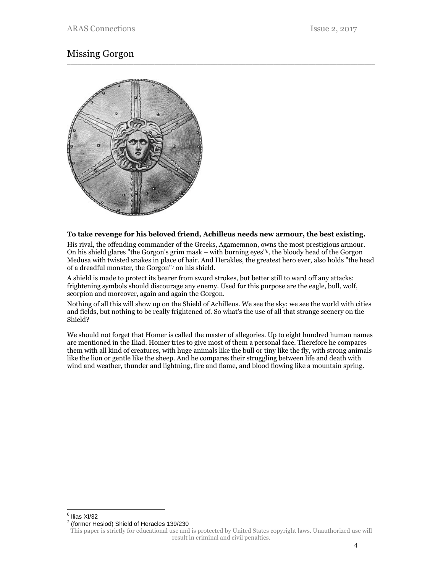#### Missing Gorgon \_\_\_\_\_\_\_\_\_\_\_\_\_\_\_\_\_\_\_\_\_\_\_\_\_\_\_\_\_\_\_\_\_\_\_\_\_\_\_\_\_\_\_\_\_\_\_\_\_\_\_\_\_\_\_\_\_\_\_\_\_\_\_\_\_\_\_\_\_\_\_\_\_\_\_\_\_\_\_\_\_\_\_\_\_\_\_\_



#### **To take revenge for his beloved friend, Achilleus needs new armour, the best existing.**

His rival, the offending commander of the Greeks, Agamemnon, owns the most prestigious armour. On his shield glares "the Gorgon's grim mask – with burning eyes"6, the bloody head of the Gorgon Medusa with twisted snakes in place of hair. And Herakles, the greatest hero ever, also holds "the head of a dreadful monster, the Gorgon"7 on his shield.

A shield is made to protect its bearer from sword strokes, but better still to ward off any attacks: frightening symbols should discourage any enemy. Used for this purpose are the eagle, bull, wolf, scorpion and moreover, again and again the Gorgon.

Nothing of all this will show up on the Shield of Achilleus. We see the sky; we see the world with cities and fields, but nothing to be really frightened of. So what's the use of all that strange scenery on the Shield?

We should not forget that Homer is called the master of allegories. Up to eight hundred human names are mentioned in the Iliad. Homer tries to give most of them a personal face. Therefore he compares them with all kind of creatures, with huge animals like the bull or tiny like the fly, with strong animals like the lion or gentle like the sheep. And he compares their struggling between life and death with wind and weather, thunder and lightning, fire and flame, and blood flowing like a mountain spring.

<sup>&</sup>lt;u>e</u><br>Ilias XI/32

<sup>&</sup>lt;sup>7</sup> (former Hesiod) Shield of Heracles 139/230

This paper is strictly for educational use and is protected by United States copyright laws. Unauthorized use will result in criminal and civil penalties.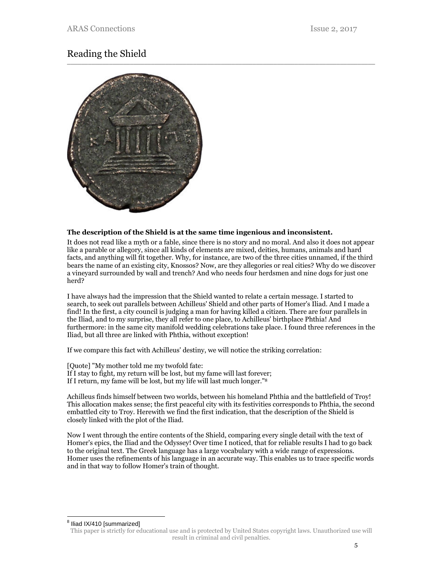## Reading the Shield



#### **The description of the Shield is at the same time ingenious and inconsistent.**

It does not read like a myth or a fable, since there is no story and no moral. And also it does not appear like a parable or allegory, since all kinds of elements are mixed, deities, humans, animals and hard facts, and anything will fit together. Why, for instance, are two of the three cities unnamed, if the third bears the name of an existing city, Knossos? Now, are they allegories or real cities? Why do we discover a vineyard surrounded by wall and trench? And who needs four herdsmen and nine dogs for just one herd?

I have always had the impression that the Shield wanted to relate a certain message. I started to search, to seek out parallels between Achilleus' Shield and other parts of Homer's Iliad. And I made a find! In the first, a city council is judging a man for having killed a citizen. There are four parallels in the Iliad, and to my surprise, they all refer to one place, to Achilleus' birthplace Phthia! And furthermore: in the same city manifold wedding celebrations take place. I found three references in the Iliad, but all three are linked with Phthia, without exception!

If we compare this fact with Achilleus' destiny, we will notice the striking correlation:

[Quote] "My mother told me my twofold fate: If I stay to fight, my return will be lost, but my fame will last forever; If I return, my fame will be lost, but my life will last much longer."8

Achilleus finds himself between two worlds, between his homeland Phthia and the battlefield of Troy! This allocation makes sense; the first peaceful city with its festivities corresponds to Phthia, the second embattled city to Troy. Herewith we find the first indication, that the description of the Shield is closely linked with the plot of the Iliad.

Now I went through the entire contents of the Shield, comparing every single detail with the text of Homer's epics, the Iliad and the Odyssey! Over time I noticed, that for reliable results I had to go back to the original text. The Greek language has a large vocabulary with a wide range of expressions. Homer uses the refinements of his language in an accurate way. This enables us to trace specific words and in that way to follow Homer's train of thought.

<sup>8</sup> Iliad IX/410 [summarized]

l

This paper is strictly for educational use and is protected by United States copyright laws. Unauthorized use will result in criminal and civil penalties.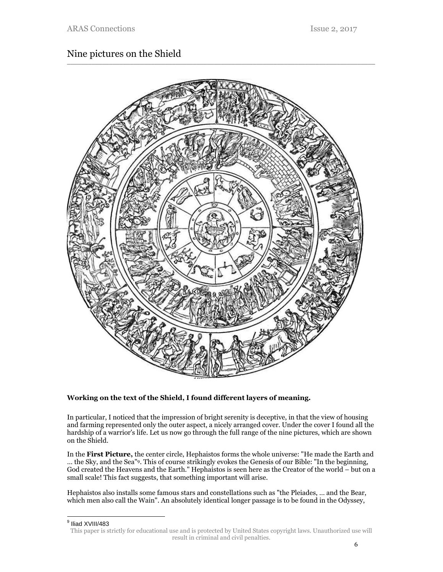## Nine pictures on the Shield



#### **Working on the text of the Shield, I found different layers of meaning.**

In particular, I noticed that the impression of bright serenity is deceptive, in that the view of housing and farming represented only the outer aspect, a nicely arranged cover. Under the cover I found all the hardship of a warrior's life. Let us now go through the full range of the nine pictures, which are shown on the Shield.

In the **First Picture,** the center circle, Hephaistos forms the whole universe: "He made the Earth and … the Sky, and the Sea"9. This of course strikingly evokes the Genesis of our Bible: "In the beginning, God created the Heavens and the Earth." Hephaistos is seen here as the Creator of the world – but on a small scale! This fact suggests, that something important will arise.

Hephaistos also installs some famous stars and constellations such as "the Pleiades, … and the Bear, which men also call the Wain". An absolutely identical longer passage is to be found in the Odyssey,

<sup>&</sup>lt;sup>9</sup> Iliad XVIII/483

This paper is strictly for educational use and is protected by United States copyright laws. Unauthorized use will result in criminal and civil penalties.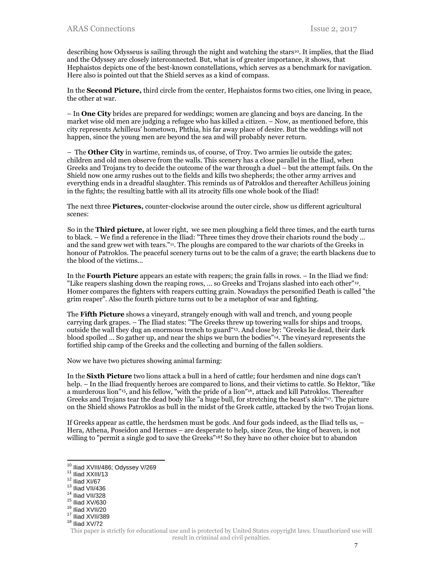describing how Odysseus is sailing through the night and watching the stars<sup>10</sup>. It implies, that the Iliad and the Odyssey are closely interconnected. But, what is of greater importance, it shows, that Hephaistos depicts one of the best-known constellations, which serves as a benchmark for navigation. Here also is pointed out that the Shield serves as a kind of compass.

In the **Second Picture,** third circle from the center, Hephaistos forms two cities, one living in peace, the other at war.

– In **One City** brides are prepared for weddings; women are glancing and boys are dancing. In the market wise old men are judging a refugee who has killed a citizen. – Now, as mentioned before, this city represents Achilleus' hometown, Phthia, his far away place of desire. But the weddings will not happen, since the young men are beyond the sea and will probably never return.

– The **Other City** in wartime, reminds us, of course, of Troy. Two armies lie outside the gates; children and old men observe from the walls. This scenery has a close parallel in the Iliad, when Greeks and Trojans try to decide the outcome of the war through a duel – but the attempt fails. On the Shield now one army rushes out to the fields and kills two shepherds; the other army arrives and everything ends in a dreadful slaughter. This reminds us of Patroklos and thereafter Achilleus joining in the fights; the resulting battle with all its atrocity fills one whole book of the Iliad!

The next three **Pictures,** counter-clockwise around the outer circle, show us different agricultural scenes:

So in the **Third picture,** at lower right, we see men ploughing a field three times, and the earth turns to black. – We find a reference in the Iliad: "Three times they drove their chariots round the body … and the sand grew wet with tears."11. The ploughs are compared to the war chariots of the Greeks in honour of Patroklos. The peaceful scenery turns out to be the calm of a grave; the earth blackens due to the blood of the victims...

In the **Fourth Picture** appears an estate with reapers; the grain falls in rows. – In the Iliad we find: "Like reapers slashing down the reaping rows, … so Greeks and Trojans slashed into each other"12. Homer compares the fighters with reapers cutting grain. Nowadays the personified Death is called "the grim reaper". Also the fourth picture turns out to be a metaphor of war and fighting.

The **Fifth Picture** shows a vineyard, strangely enough with wall and trench, and young people carrying dark grapes. – The Iliad states: "The Greeks threw up towering walls for ships and troops, outside the wall they dug an enormous trench to guard"13. And close by: "Greeks lie dead, their dark blood spoiled … So gather up, and near the ships we burn the bodies"14. The vineyard represents the fortified ship camp of the Greeks and the collecting and burning of the fallen soldiers.

Now we have two pictures showing animal farming:

In the **Sixth Picture** two lions attack a bull in a herd of cattle; four herdsmen and nine dogs can't help. – In the Iliad frequently heroes are compared to lions, and their victims to cattle. So Hektor, "like a murderous lion"15, and his fellow, "with the pride of a lion"16, attack and kill Patroklos. Thereafter Greeks and Trojans tear the dead body like "a huge bull, for stretching the beast's skin"17. The picture on the Shield shows Patroklos as bull in the midst of the Greek cattle, attacked by the two Trojan lions.

If Greeks appear as cattle, the herdsmen must be gods. And four gods indeed, as the Iliad tells us, – Hera, Athena, Poseidon and Hermes – are desperate to help, since Zeus, the king of heaven, is not willing to "permit a single god to save the Greeks"18! So they have no other choice but to abandon

l

<sup>&</sup>lt;sup>10</sup> Iliad XVIII/486; Odyssey V/269<br><sup>11</sup> Iliad XXIII/13<br><sup>12</sup> Iliad XI/67<br><sup>13</sup> Iliad VII/436<br><sup>14</sup> Iliad VII/328<br><sup>15</sup> Iliad XV/630<br><sup>16</sup> Iliad XVII/20<br><sup>17</sup> Iliad XVII/389<br><sup>18</sup> Iliad XV/72

This paper is strictly for educational use and is protected by United States copyright laws. Unauthorized use will result in criminal and civil penalties.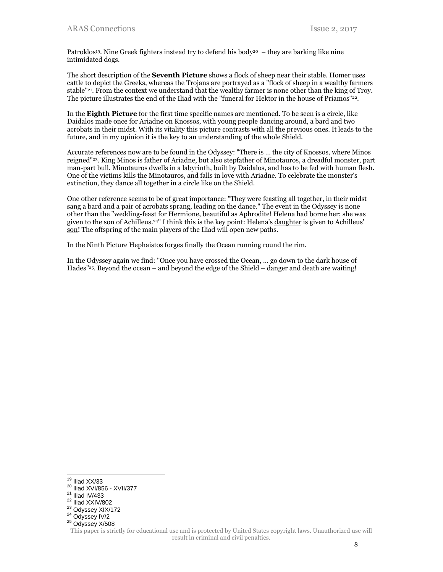Patroklos<sup>19</sup>. Nine Greek fighters instead try to defend his body<sup>20</sup> – they are barking like nine intimidated dogs.

The short description of the **Seventh Picture** shows a flock of sheep near their stable. Homer uses cattle to depict the Greeks, whereas the Trojans are portrayed as a "flock of sheep in a wealthy farmers stable"21. From the context we understand that the wealthy farmer is none other than the king of Troy. The picture illustrates the end of the Iliad with the "funeral for Hektor in the house of Priamos"22.

In the **Eighth Picture** for the first time specific names are mentioned. To be seen is a circle, like Daidalos made once for Ariadne on Knossos, with young people dancing around, a bard and two acrobats in their midst. With its vitality this picture contrasts with all the previous ones. It leads to the future, and in my opinion it is the key to an understanding of the whole Shield.

Accurate references now are to be found in the Odyssey: "There is … the city of Knossos, where Minos reigned"23. King Minos is father of Ariadne, but also stepfather of Minotauros, a dreadful monster, part man-part bull. Minotauros dwells in a labyrinth, built by Daidalos, and has to be fed with human flesh. One of the victims kills the Minotauros, and falls in love with Ariadne. To celebrate the monster's extinction, they dance all together in a circle like on the Shield.

One other reference seems to be of great importance: "They were feasting all together, in their midst sang a bard and a pair of acrobats sprang, leading on the dance." The event in the Odyssey is none other than the "wedding-feast for Hermione, beautiful as Aphrodite! Helena had borne her; she was given to the son of Achilleus.24" I think this is the key point: Helena's daughter is given to Achilleus' son! The offspring of the main players of the Iliad will open new paths.

In the Ninth Picture Hephaistos forges finally the Ocean running round the rim.

In the Odyssey again we find: "Once you have crossed the Ocean, … go down to the dark house of Hades"25. Beyond the ocean – and beyond the edge of the Shield – danger and death are waiting!

 $19$  Iliad  $XX/33$ 

<sup>20</sup> Iliad XVI/856 - XVII/377<br><sup>21</sup> Iliad IV/433<br><sup>22</sup> Iliad XXIV/802<br><sup>23</sup> Odyssey XIX/172<br><sup>24</sup> Odyssey IV/2<br><sup>25</sup> Odyssey X/508

This paper is strictly for educational use and is protected by United States copyright laws. Unauthorized use will result in criminal and civil penalties.